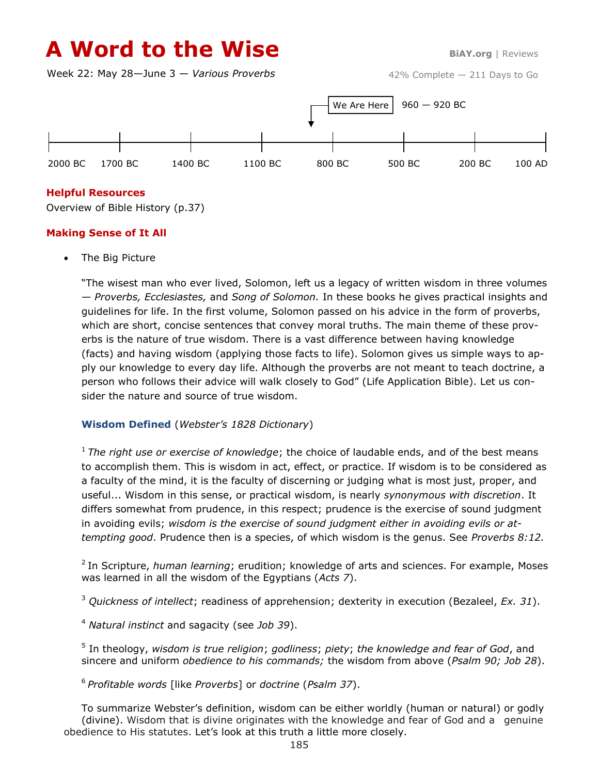# **A Word to the Wise BiAY.org** | Reviews

Week 22: May 28—June 3 — *Various Proverbs*



## **Helpful Resources**

Overview of Bible History (p.37)

### **Making Sense of It All**

The Big Picture

"The wisest man who ever lived, Solomon, left us a legacy of written wisdom in three volumes — *Proverbs, Ecclesiastes,* and *Song of Solomon.* In these books he gives practical insights and guidelines for life. In the first volume, Solomon passed on his advice in the form of proverbs, which are short, concise sentences that convey moral truths. The main theme of these proverbs is the nature of true wisdom. There is a vast difference between having knowledge (facts) and having wisdom (applying those facts to life). Solomon gives us simple ways to apply our knowledge to every day life. Although the proverbs are not meant to teach doctrine, a person who follows their advice will walk closely to God" (Life Application Bible). Let us consider the nature and source of true wisdom.

### **Wisdom Defined** (*Webster's 1828 Dictionary*)

<sup>1</sup>*The right use or exercise of knowledge*; the choice of laudable ends, and of the best means to accomplish them. This is wisdom in act, effect, or practice. If wisdom is to be considered as a faculty of the mind, it is the faculty of discerning or judging what is most just, proper, and useful... Wisdom in this sense, or practical wisdom, is nearly *synonymous with discretion*. It differs somewhat from prudence, in this respect; prudence is the exercise of sound judgment in avoiding evils; *wisdom is the exercise of sound judgment either in avoiding evils or attempting good*. Prudence then is a species, of which wisdom is the genus. See *Proverbs 8:12.*

<sup>2</sup> In Scripture, *human learning*; erudition; knowledge of arts and sciences. For example, Moses was learned in all the wisdom of the Egyptians (*Acts 7*).

<sup>3</sup> *Quickness of intellect*; readiness of apprehension; dexterity in execution (Bezaleel, *Ex. 31*).

<sup>4</sup> *Natural instinct* and sagacity (see *Job 39*).

5 In theology, *wisdom is true religion*; *godliness*; *piety*; *the knowledge and fear of God*, and sincere and uniform *obedience to his commands;* the wisdom from above (*Psalm 90; Job 28*).

<sup>6</sup>*Profitable words* [like *Proverbs*] or *doctrine* (*Psalm 37*).

To summarize Webster's definition, wisdom can be either worldly (human or natural) or godly (divine). Wisdom that is divine originates with the knowledge and fear of God and a genuine obedience to His statutes. Let's look at this truth a little more closely.